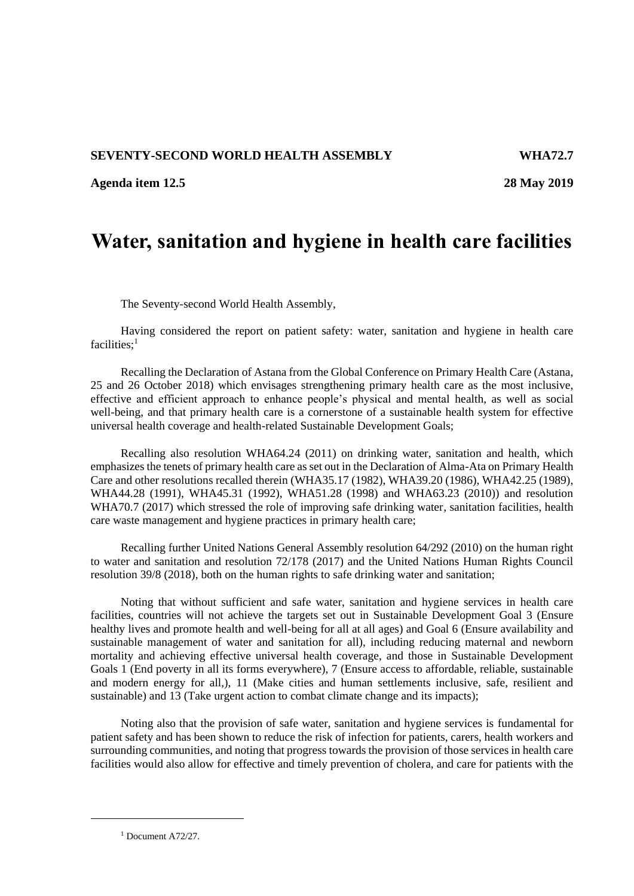## **SEVENTY-SECOND WORLD HEALTH ASSEMBLY WHA72.7**

**Agenda item 12.5 28 May 2019**

## **Water, sanitation and hygiene in health care facilities**

The Seventy-second World Health Assembly,

Having considered the report on patient safety: water, sanitation and hygiene in health care facilities;<sup>1</sup>

Recalling the Declaration of Astana from the Global Conference on Primary Health Care (Astana, 25 and 26 October 2018) which envisages strengthening primary health care as the most inclusive, effective and efficient approach to enhance people's physical and mental health, as well as social well-being, and that primary health care is a cornerstone of a sustainable health system for effective universal health coverage and health-related Sustainable Development Goals;

Recalling also resolution WHA64.24 (2011) on drinking water, sanitation and health, which emphasizes the tenets of primary health care as set out in the Declaration of Alma-Ata on Primary Health Care and other resolutions recalled therein (WHA35.17 (1982), WHA39.20 (1986), WHA42.25 (1989), WHA44.28 (1991), WHA45.31 (1992), WHA51.28 (1998) and WHA63.23 (2010)) and resolution WHA70.7 (2017) which stressed the role of improving safe drinking water, sanitation facilities, health care waste management and hygiene practices in primary health care;

Recalling further United Nations General Assembly resolution 64/292 (2010) on the human right to water and sanitation and resolution 72/178 (2017) and the United Nations Human Rights Council resolution 39/8 (2018), both on the human rights to safe drinking water and sanitation;

Noting that without sufficient and safe water, sanitation and hygiene services in health care facilities, countries will not achieve the targets set out in Sustainable Development Goal 3 (Ensure healthy lives and promote health and well-being for all at all ages) and Goal 6 (Ensure availability and sustainable management of water and sanitation for all), including reducing maternal and newborn mortality and achieving effective universal health coverage, and those in Sustainable Development Goals 1 (End poverty in all its forms everywhere), 7 (Ensure access to affordable, reliable, sustainable and modern energy for all,), 11 (Make cities and human settlements inclusive, safe, resilient and sustainable) and 13 (Take urgent action to combat climate change and its impacts);

Noting also that the provision of safe water, sanitation and hygiene services is fundamental for patient safety and has been shown to reduce the risk of infection for patients, carers, health workers and surrounding communities, and noting that progress towards the provision of those services in health care facilities would also allow for effective and timely prevention of cholera, and care for patients with the

1

 $1$  Document A72/27.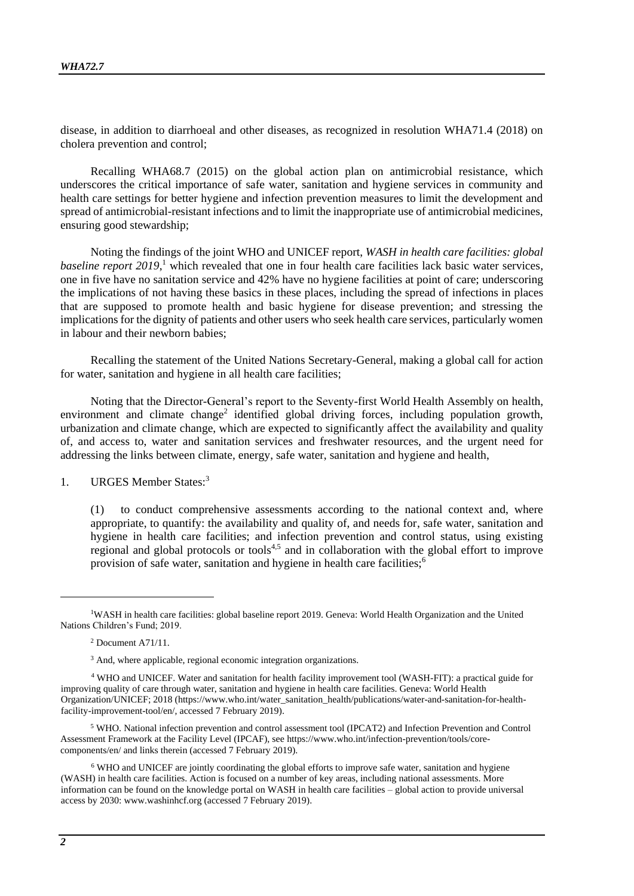disease, in addition to diarrhoeal and other diseases, as recognized in resolution WHA71.4 (2018) on cholera prevention and control;

Recalling WHA68.7 (2015) on the global action plan on antimicrobial resistance, which underscores the critical importance of safe water, sanitation and hygiene services in community and health care settings for better hygiene and infection prevention measures to limit the development and spread of antimicrobial-resistant infections and to limit the inappropriate use of antimicrobial medicines, ensuring good stewardship;

Noting the findings of the joint WHO and UNICEF report, *WASH in health care facilities: global*  baseline report 2019,<sup>1</sup> which revealed that one in four health care facilities lack basic water services, one in five have no sanitation service and 42% have no hygiene facilities at point of care; underscoring the implications of not having these basics in these places, including the spread of infections in places that are supposed to promote health and basic hygiene for disease prevention; and stressing the implications for the dignity of patients and other users who seek health care services, particularly women in labour and their newborn babies;

Recalling the statement of the United Nations Secretary-General, making a global call for action for water, sanitation and hygiene in all health care facilities;

Noting that the Director-General's report to the Seventy-first World Health Assembly on health, environment and climate change<sup>2</sup> identified global driving forces, including population growth, urbanization and climate change, which are expected to significantly affect the availability and quality of, and access to, water and sanitation services and freshwater resources, and the urgent need for addressing the links between climate, energy, safe water, sanitation and hygiene and health,

1. URGES Member States:<sup>3</sup>

(1) to conduct comprehensive assessments according to the national context and, where appropriate, to quantify: the availability and quality of, and needs for, safe water, sanitation and hygiene in health care facilities; and infection prevention and control status, using existing regional and global protocols or tools<sup>4,5</sup> and in collaboration with the global effort to improve provision of safe water, sanitation and hygiene in health care facilities;<sup>6</sup>

<sup>5</sup> WHO. National infection prevention and control assessment tool (IPCAT2) and Infection Prevention and Control Assessment Framework at the Facility Level (IPCAF), se[e https://www.who.int/infection-prevention/tools/core](https://www.who.int/infection-prevention/tools/core-components/en/)[components/en/](https://www.who.int/infection-prevention/tools/core-components/en/) and links therein (accessed 7 February 2019).

<sup>6</sup> WHO and UNICEF are jointly coordinating the global efforts to improve safe water, sanitation and hygiene (WASH) in health care facilities. Action is focused on a number of key areas, including national assessments. More information can be found on the knowledge portal on WASH in health care facilities – global action to provide universal access by 2030[: www.washinhcf.org](https://www.washinhcf.org/home/) (accessed 7 February 2019).

l

<sup>1</sup>WASH in health care facilities: global baseline report 2019. Geneva: World Health Organization and the United Nations Children's Fund; 2019.

<sup>2</sup> Document A71/11.

<sup>&</sup>lt;sup>3</sup> And, where applicable, regional economic integration organizations.

<sup>4</sup> WHO and UNICEF. Water and sanitation for health facility improvement tool (WASH-FIT): a practical guide for improving quality of care through water, sanitation and hygiene in health care facilities. Geneva: World Health Organization/UNICEF; 2018 [\(https://www.who.int/water\\_sanitation\\_health/publications/water-and-sanitation-for-health](https://www.who.int/water_sanitation_health/publications/water-and-sanitation-for-health-facility-improvement-tool/en/)[facility-improvement-tool/en/,](https://www.who.int/water_sanitation_health/publications/water-and-sanitation-for-health-facility-improvement-tool/en/) accessed 7 February 2019).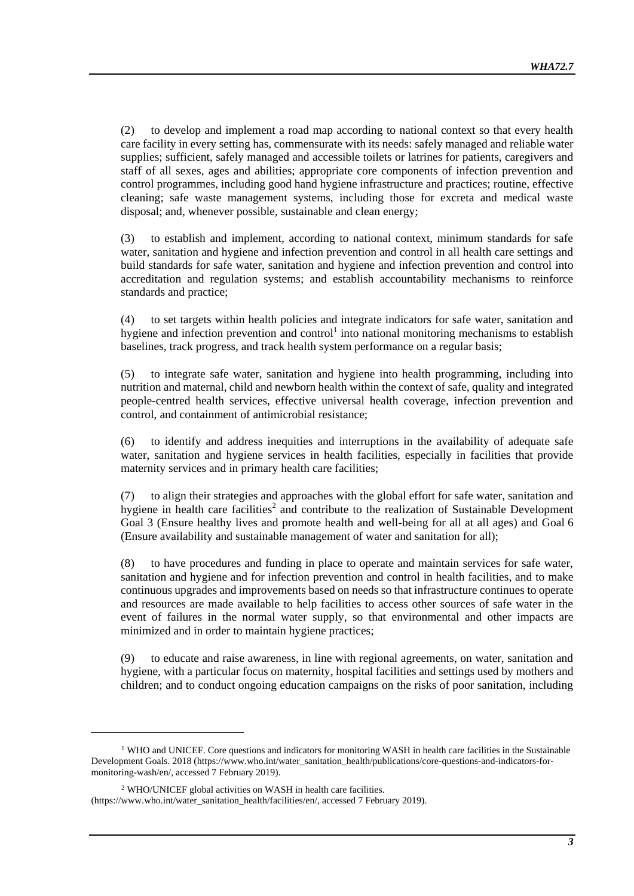(2) to develop and implement a road map according to national context so that every health care facility in every setting has, commensurate with its needs: safely managed and reliable water supplies; sufficient, safely managed and accessible toilets or latrines for patients, caregivers and staff of all sexes*,* ages and abilities; appropriate core components of infection prevention and control programmes, including good hand hygiene infrastructure and practices; routine, effective cleaning; safe waste management systems, including those for excreta and medical waste disposal; and, whenever possible, sustainable and clean energy;

(3) to establish and implement, according to national context, minimum standards for safe water, sanitation and hygiene and infection prevention and control in all health care settings and build standards for safe water, sanitation and hygiene and infection prevention and control into accreditation and regulation systems; and establish accountability mechanisms to reinforce standards and practice;

(4) to set targets within health policies and integrate indicators for safe water, sanitation and hygiene and infection prevention and control<sup>1</sup> into national monitoring mechanisms to establish baselines, track progress, and track health system performance on a regular basis;

(5) to integrate safe water, sanitation and hygiene into health programming, including into nutrition and maternal, child and newborn health within the context of safe, quality and integrated people-centred health services, effective universal health coverage, infection prevention and control, and containment of antimicrobial resistance;

(6) to identify and address inequities and interruptions in the availability of adequate safe water, sanitation and hygiene services in health facilities, especially in facilities that provide maternity services and in primary health care facilities;

(7) to align their strategies and approaches with the global effort for safe water, sanitation and hygiene in health care facilities<sup>2</sup> and contribute to the realization of Sustainable Development Goal 3 (Ensure healthy lives and promote health and well-being for all at all ages) and Goal 6 (Ensure availability and sustainable management of water and sanitation for all);

(8) to have procedures and funding in place to operate and maintain services for safe water, sanitation and hygiene and for infection prevention and control in health facilities, and to make continuous upgrades and improvements based on needs so that infrastructure continues to operate and resources are made available to help facilities to access other sources of safe water in the event of failures in the normal water supply, so that environmental and other impacts are minimized and in order to maintain hygiene practices;

(9) to educate and raise awareness, in line with regional agreements, on water, sanitation and hygiene, with a particular focus on maternity, hospital facilities and settings used by mothers and children; and to conduct ongoing education campaigns on the risks of poor sanitation, including

1

 $1$  WHO and UNICEF. Core questions and indicators for monitoring WASH in health care facilities in the Sustainable Development Goals. 2018 [\(https://www.who.int/water\\_sanitation\\_health/publications/core-questions-and-indicators-for](https://www.who.int/water_sanitation_health/publications/core-questions-and-indicators-for-monitoring-wash/en/)[monitoring-wash/en/,](https://www.who.int/water_sanitation_health/publications/core-questions-and-indicators-for-monitoring-wash/en/) accessed 7 February 2019).

<sup>2</sup> WHO/UNICEF global activities on WASH in health care facilities. [\(https://www.who.int/water\\_sanitation\\_health/facilities/en/,](https://www.who.int/water_sanitation_health/facilities/en/) accessed 7 February 2019).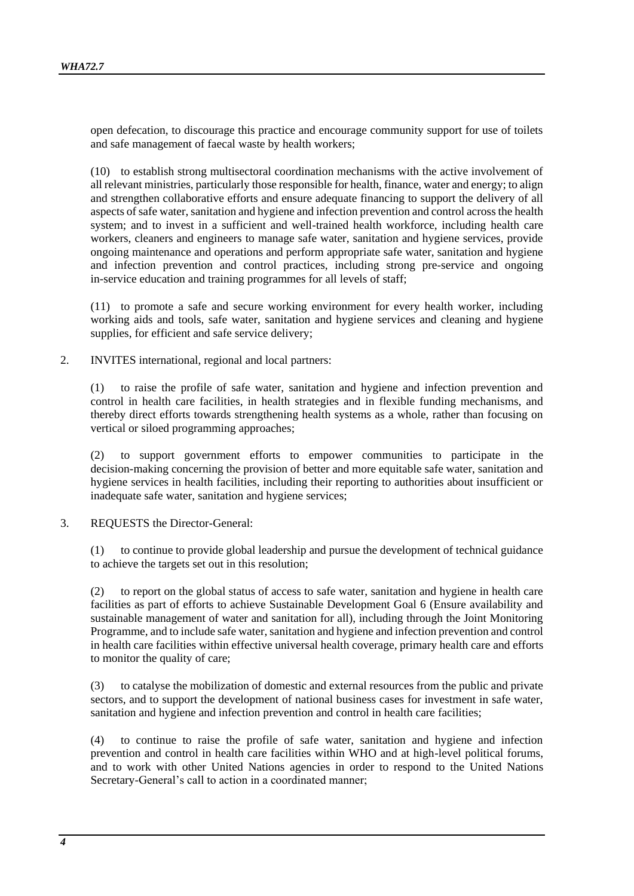open defecation, to discourage this practice and encourage community support for use of toilets and safe management of faecal waste by health workers;

(10) to establish strong multisectoral coordination mechanisms with the active involvement of all relevant ministries, particularly those responsible for health, finance, water and energy; to align and strengthen collaborative efforts and ensure adequate financing to support the delivery of all aspects of safe water, sanitation and hygiene and infection prevention and control across the health system; and to invest in a sufficient and well-trained health workforce, including health care workers, cleaners and engineers to manage safe water, sanitation and hygiene services, provide ongoing maintenance and operations and perform appropriate safe water, sanitation and hygiene and infection prevention and control practices, including strong pre-service and ongoing in-service education and training programmes for all levels of staff;

(11) to promote a safe and secure working environment for every health worker, including working aids and tools, safe water, sanitation and hygiene services and cleaning and hygiene supplies, for efficient and safe service delivery;

2. INVITES international, regional and local partners:

(1) to raise the profile of safe water, sanitation and hygiene and infection prevention and control in health care facilities, in health strategies and in flexible funding mechanisms, and thereby direct efforts towards strengthening health systems as a whole, rather than focusing on vertical or siloed programming approaches;

(2) to support government efforts to empower communities to participate in the decision-making concerning the provision of better and more equitable safe water, sanitation and hygiene services in health facilities, including their reporting to authorities about insufficient or inadequate safe water, sanitation and hygiene services;

3. REQUESTS the Director-General:

(1) to continue to provide global leadership and pursue the development of technical guidance to achieve the targets set out in this resolution;

(2) to report on the global status of access to safe water, sanitation and hygiene in health care facilities as part of efforts to achieve Sustainable Development Goal 6 (Ensure availability and sustainable management of water and sanitation for all), including through the Joint Monitoring Programme, and to include safe water, sanitation and hygiene and infection prevention and control in health care facilities within effective universal health coverage, primary health care and efforts to monitor the quality of care;

(3) to catalyse the mobilization of domestic and external resources from the public and private sectors, and to support the development of national business cases for investment in safe water, sanitation and hygiene and infection prevention and control in health care facilities;

(4) to continue to raise the profile of safe water, sanitation and hygiene and infection prevention and control in health care facilities within WHO and at high-level political forums, and to work with other United Nations agencies in order to respond to the United Nations Secretary-General's call to action in a coordinated manner;